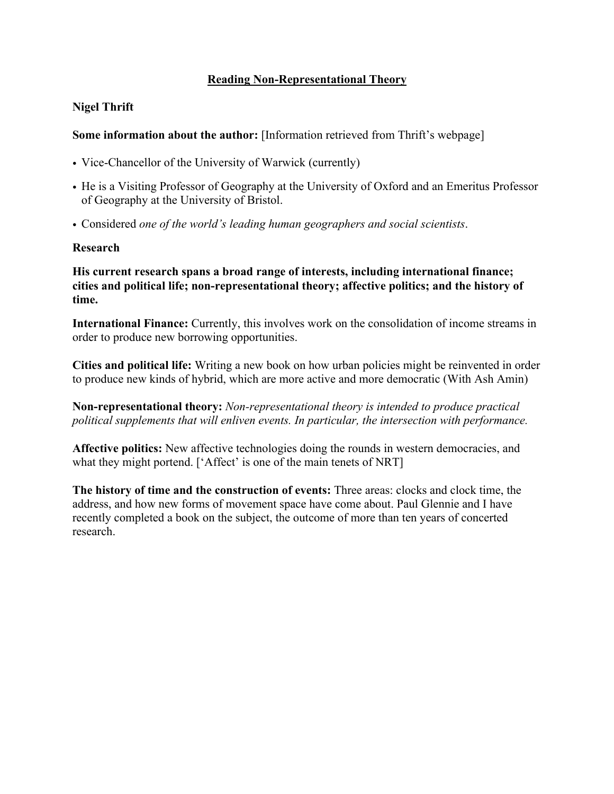## **Reading Non-Representational Theory**

## **Nigel Thrift**

**Some information about the author:** [Information retrieved from Thrift's webpage]

- Vice-Chancellor of the University of Warwick (currently)
- He is a Visiting Professor of Geography at the University of Oxford and an Emeritus Professor of Geography at the University of Bristol.
- Considered *one of the world's leading human geographers and social scientists*.

#### **Research**

**His current research spans a broad range of interests, including international finance; cities and political life; non-representational theory; affective politics; and the history of time.**

**International Finance:** Currently, this involves work on the consolidation of income streams in order to produce new borrowing opportunities.

**Cities and political life:** Writing a new book on how urban policies might be reinvented in order to produce new kinds of hybrid, which are more active and more democratic (With Ash Amin)

**Non-representational theory:** *Non-representational theory is intended to produce practical political supplements that will enliven events. In particular, the intersection with performance.*

**Affective politics:** New affective technologies doing the rounds in western democracies, and what they might portend. ['Affect' is one of the main tenets of NRT]

**The history of time and the construction of events:** Three areas: clocks and clock time, the address, and how new forms of movement space have come about. Paul Glennie and I have recently completed a book on the subject, the outcome of more than ten years of concerted research.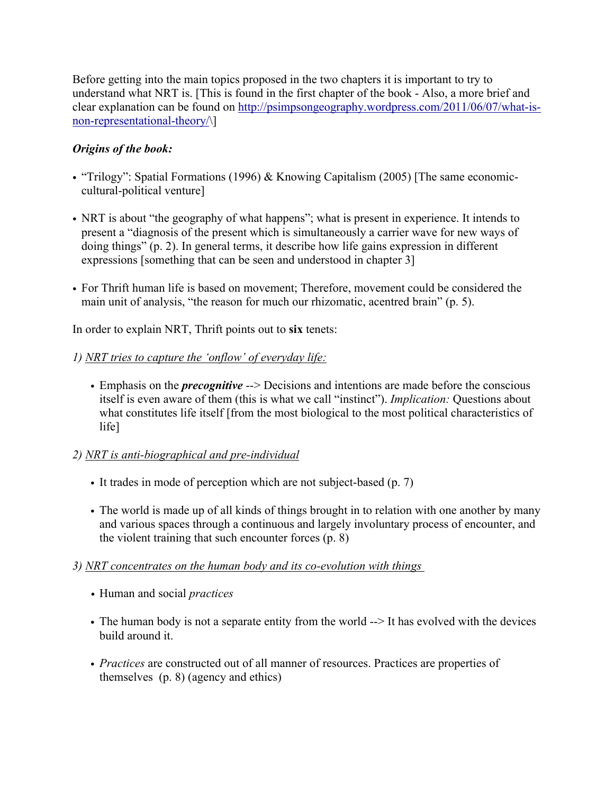Before getting into the main topics proposed in the two chapters it is important to try to understand what NRT is. [This is found in the first chapter of the book - Also, a more brief and clear explanation can be found on http://psimpsongeography.wordpress.com/2011/06/07/what-isnon-representational-theory/\]

## *Origins of the book:*

- "Trilogy": Spatial Formations (1996) & Knowing Capitalism (2005) [The same economiccultural-political venture]
- NRT is about "the geography of what happens"; what is present in experience. It intends to present a "diagnosis of the present which is simultaneously a carrier wave for new ways of doing things" (p. 2). In general terms, it describe how life gains expression in different expressions [something that can be seen and understood in chapter 3]
- For Thrift human life is based on movement; Therefore, movement could be considered the main unit of analysis, "the reason for much our rhizomatic, acentred brain" (p. 5).

In order to explain NRT, Thrift points out to **six** tenets:

## *1) NRT tries to capture the 'onflow' of everyday life:*

• Emphasis on the *precognitive* --> Decisions and intentions are made before the conscious itself is even aware of them (this is what we call "instinct"). *Implication:* Questions about what constitutes life itself [from the most biological to the most political characteristics of life]

#### *2) NRT is anti-biographical and pre-individual*

- It trades in mode of perception which are not subject-based (p. 7)
- The world is made up of all kinds of things brought in to relation with one another by many and various spaces through a continuous and largely involuntary process of encounter, and the violent training that such encounter forces (p. 8)

#### *3) NRT concentrates on the human body and its co-evolution with things*

- *•* Human and social *practices*
- The human body is not a separate entity from the world  $\rightarrow$  It has evolved with the devices build around it.
- *Practices* are constructed out of all manner of resources. Practices are properties of themselves (p. 8) (agency and ethics)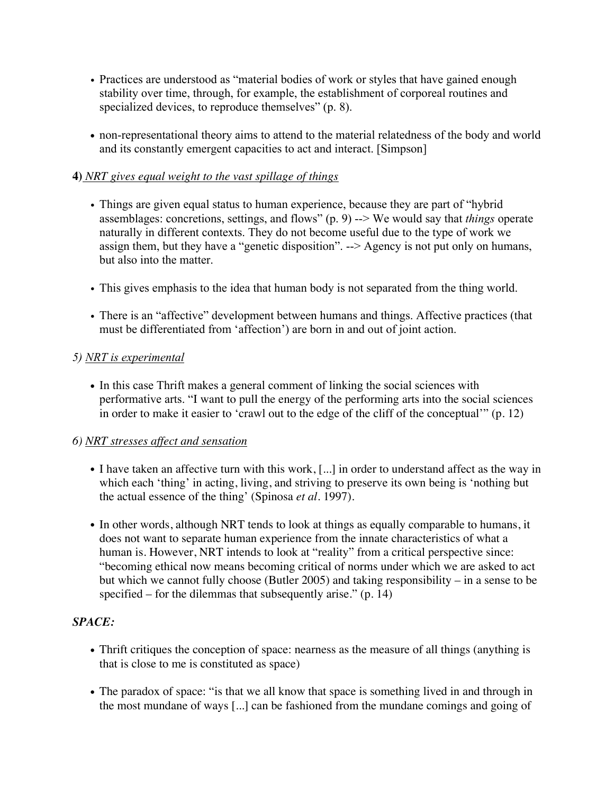- Practices are understood as "material bodies of work or styles that have gained enough stability over time, through, for example, the establishment of corporeal routines and specialized devices, to reproduce themselves" (p. 8).
- non-representational theory aims to attend to the material relatedness of the body and world and its constantly emergent capacities to act and interact. [Simpson]

### **4)** *NRT gives equal weight to the vast spillage of things*

- Things are given equal status to human experience, because they are part of "hybrid assemblages: concretions, settings, and flows" (p. 9) --> We would say that *things* operate naturally in different contexts. They do not become useful due to the type of work we assign them, but they have a "genetic disposition". --> Agency is not put only on humans, but also into the matter.
- This gives emphasis to the idea that human body is not separated from the thing world.
- There is an "affective" development between humans and things. Affective practices (that must be differentiated from 'affection') are born in and out of joint action.

## *5) NRT is experimental*

• In this case Thrift makes a general comment of linking the social sciences with performative arts. "I want to pull the energy of the performing arts into the social sciences in order to make it easier to 'crawl out to the edge of the cliff of the conceptual'" (p. 12)

#### *6) NRT stresses affect and sensation*

- I have taken an affective turn with this work, [...] in order to understand affect as the way in which each 'thing' in acting, living, and striving to preserve its own being is 'nothing but the actual essence of the thing' (Spinosa *et al*. 1997).
- In other words, although NRT tends to look at things as equally comparable to humans, it does not want to separate human experience from the innate characteristics of what a human is. However, NRT intends to look at "reality" from a critical perspective since: "becoming ethical now means becoming critical of norms under which we are asked to act but which we cannot fully choose (Butler 2005) and taking responsibility – in a sense to be specified – for the dilemmas that subsequently arise." (p. 14)

# *SPACE:*

- Thrift critiques the conception of space: nearness as the measure of all things (anything is that is close to me is constituted as space)
- The paradox of space: "is that we all know that space is something lived in and through in the most mundane of ways [...] can be fashioned from the mundane comings and going of